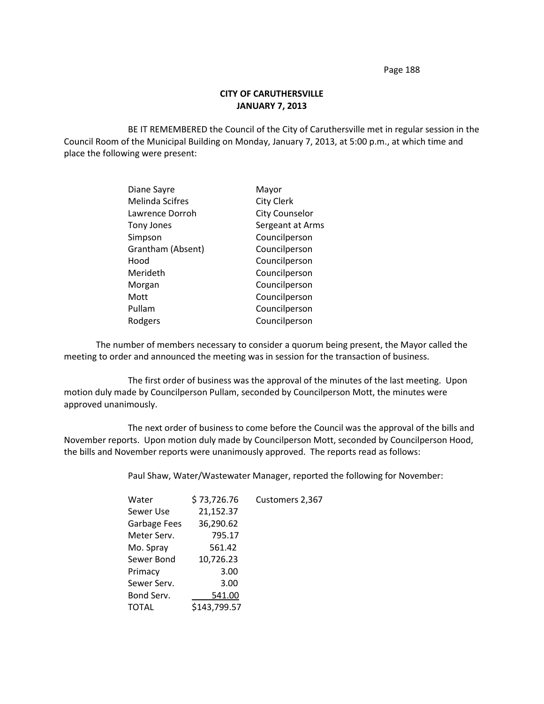## **CITY OF CARUTHERSVILLE JANUARY 7, 2013**

BE IT REMEMBERED the Council of the City of Caruthersville met in regular session in the Council Room of the Municipal Building on Monday, January 7, 2013, at 5:00 p.m., at which time and place the following were present:

| Diane Sayre            | Mayor                 |
|------------------------|-----------------------|
| <b>Melinda Scifres</b> | <b>City Clerk</b>     |
| Lawrence Dorroh        | <b>City Counselor</b> |
| Tony Jones             | Sergeant at Arms      |
| Simpson                | Councilperson         |
| Grantham (Absent)      | Councilperson         |
| Hood                   | Councilperson         |
| Merideth               | Councilperson         |
| Morgan                 | Councilperson         |
| Mott                   | Councilperson         |
| Pullam                 | Councilperson         |
| Rodgers                | Councilperson         |

The number of members necessary to consider a quorum being present, the Mayor called the meeting to order and announced the meeting was in session for the transaction of business.

The first order of business was the approval of the minutes of the last meeting. Upon motion duly made by Councilperson Pullam, seconded by Councilperson Mott, the minutes were approved unanimously.

The next order of business to come before the Council was the approval of the bills and November reports. Upon motion duly made by Councilperson Mott, seconded by Councilperson Hood, the bills and November reports were unanimously approved. The reports read as follows:

Paul Shaw, Water/Wastewater Manager, reported the following for November:

| Water        | \$73,726.76  | Customers 2,367 |
|--------------|--------------|-----------------|
| Sewer Use    | 21,152.37    |                 |
| Garbage Fees | 36,290.62    |                 |
| Meter Serv.  | 795.17       |                 |
| Mo. Spray    | 561.42       |                 |
| Sewer Bond   | 10,726.23    |                 |
| Primacy      | 3.00         |                 |
| Sewer Serv.  | 3.00         |                 |
| Bond Serv.   | 541.00       |                 |
| TOTAL        | \$143,799.57 |                 |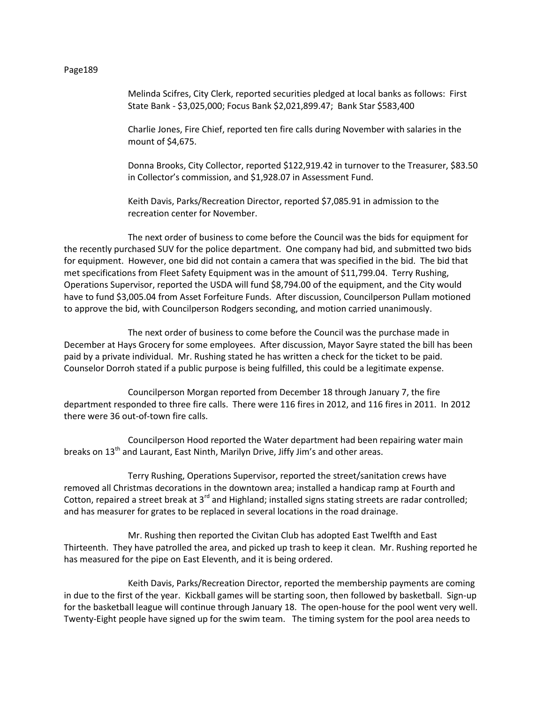Melinda Scifres, City Clerk, reported securities pledged at local banks as follows: First State Bank - \$3,025,000; Focus Bank \$2,021,899.47; Bank Star \$583,400

Charlie Jones, Fire Chief, reported ten fire calls during November with salaries in the mount of \$4,675.

Donna Brooks, City Collector, reported \$122,919.42 in turnover to the Treasurer, \$83.50 in Collector's commission, and \$1,928.07 in Assessment Fund.

Keith Davis, Parks/Recreation Director, reported \$7,085.91 in admission to the recreation center for November.

The next order of business to come before the Council was the bids for equipment for the recently purchased SUV for the police department. One company had bid, and submitted two bids for equipment. However, one bid did not contain a camera that was specified in the bid. The bid that met specifications from Fleet Safety Equipment was in the amount of \$11,799.04. Terry Rushing, Operations Supervisor, reported the USDA will fund \$8,794.00 of the equipment, and the City would have to fund \$3,005.04 from Asset Forfeiture Funds. After discussion, Councilperson Pullam motioned to approve the bid, with Councilperson Rodgers seconding, and motion carried unanimously.

The next order of business to come before the Council was the purchase made in December at Hays Grocery for some employees. After discussion, Mayor Sayre stated the bill has been paid by a private individual. Mr. Rushing stated he has written a check for the ticket to be paid. Counselor Dorroh stated if a public purpose is being fulfilled, this could be a legitimate expense.

Councilperson Morgan reported from December 18 through January 7, the fire department responded to three fire calls. There were 116 fires in 2012, and 116 fires in 2011. In 2012 there were 36 out-of-town fire calls.

Councilperson Hood reported the Water department had been repairing water main breaks on  $13<sup>th</sup>$  and Laurant, East Ninth, Marilyn Drive, Jiffy Jim's and other areas.

Terry Rushing, Operations Supervisor, reported the street/sanitation crews have removed all Christmas decorations in the downtown area; installed a handicap ramp at Fourth and Cotton, repaired a street break at 3<sup>rd</sup> and Highland; installed signs stating streets are radar controlled; and has measurer for grates to be replaced in several locations in the road drainage.

Mr. Rushing then reported the Civitan Club has adopted East Twelfth and East Thirteenth. They have patrolled the area, and picked up trash to keep it clean. Mr. Rushing reported he has measured for the pipe on East Eleventh, and it is being ordered.

Keith Davis, Parks/Recreation Director, reported the membership payments are coming in due to the first of the year. Kickball games will be starting soon, then followed by basketball. Sign-up for the basketball league will continue through January 18. The open-house for the pool went very well. Twenty-Eight people have signed up for the swim team. The timing system for the pool area needs to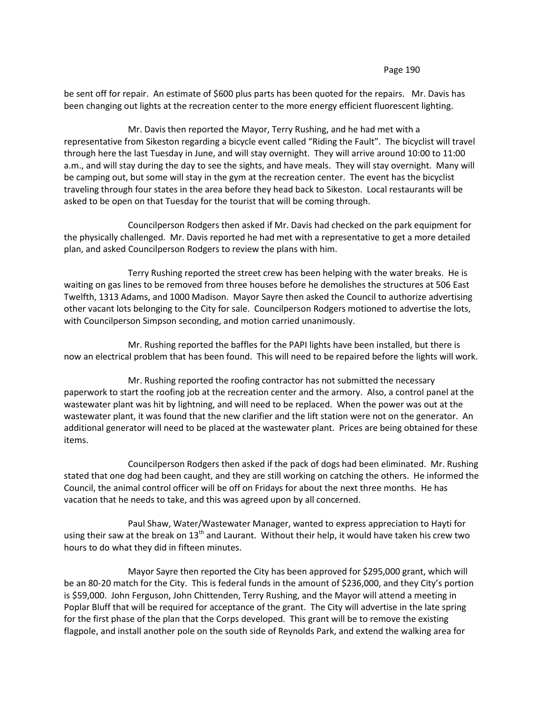be sent off for repair. An estimate of \$600 plus parts has been quoted for the repairs. Mr. Davis has been changing out lights at the recreation center to the more energy efficient fluorescent lighting.

Mr. Davis then reported the Mayor, Terry Rushing, and he had met with a representative from Sikeston regarding a bicycle event called "Riding the Fault". The bicyclist will travel through here the last Tuesday in June, and will stay overnight. They will arrive around 10:00 to 11:00 a.m., and will stay during the day to see the sights, and have meals. They will stay overnight. Many will be camping out, but some will stay in the gym at the recreation center. The event has the bicyclist traveling through four states in the area before they head back to Sikeston. Local restaurants will be asked to be open on that Tuesday for the tourist that will be coming through.

Councilperson Rodgers then asked if Mr. Davis had checked on the park equipment for the physically challenged. Mr. Davis reported he had met with a representative to get a more detailed plan, and asked Councilperson Rodgers to review the plans with him.

Terry Rushing reported the street crew has been helping with the water breaks. He is waiting on gas lines to be removed from three houses before he demolishes the structures at 506 East Twelfth, 1313 Adams, and 1000 Madison. Mayor Sayre then asked the Council to authorize advertising other vacant lots belonging to the City for sale. Councilperson Rodgers motioned to advertise the lots, with Councilperson Simpson seconding, and motion carried unanimously.

Mr. Rushing reported the baffles for the PAPI lights have been installed, but there is now an electrical problem that has been found. This will need to be repaired before the lights will work.

Mr. Rushing reported the roofing contractor has not submitted the necessary paperwork to start the roofing job at the recreation center and the armory. Also, a control panel at the wastewater plant was hit by lightning, and will need to be replaced. When the power was out at the wastewater plant, it was found that the new clarifier and the lift station were not on the generator. An additional generator will need to be placed at the wastewater plant. Prices are being obtained for these items.

Councilperson Rodgers then asked if the pack of dogs had been eliminated. Mr. Rushing stated that one dog had been caught, and they are still working on catching the others. He informed the Council, the animal control officer will be off on Fridays for about the next three months. He has vacation that he needs to take, and this was agreed upon by all concerned.

Paul Shaw, Water/Wastewater Manager, wanted to express appreciation to Hayti for using their saw at the break on  $13<sup>th</sup>$  and Laurant. Without their help, it would have taken his crew two hours to do what they did in fifteen minutes.

Mayor Sayre then reported the City has been approved for \$295,000 grant, which will be an 80-20 match for the City. This is federal funds in the amount of \$236,000, and they City's portion is \$59,000. John Ferguson, John Chittenden, Terry Rushing, and the Mayor will attend a meeting in Poplar Bluff that will be required for acceptance of the grant. The City will advertise in the late spring for the first phase of the plan that the Corps developed. This grant will be to remove the existing flagpole, and install another pole on the south side of Reynolds Park, and extend the walking area for